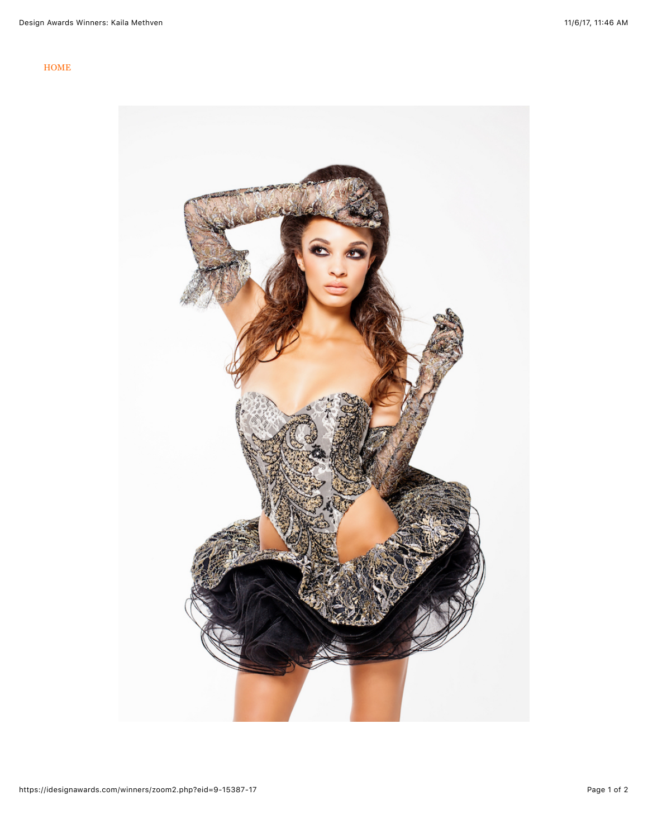